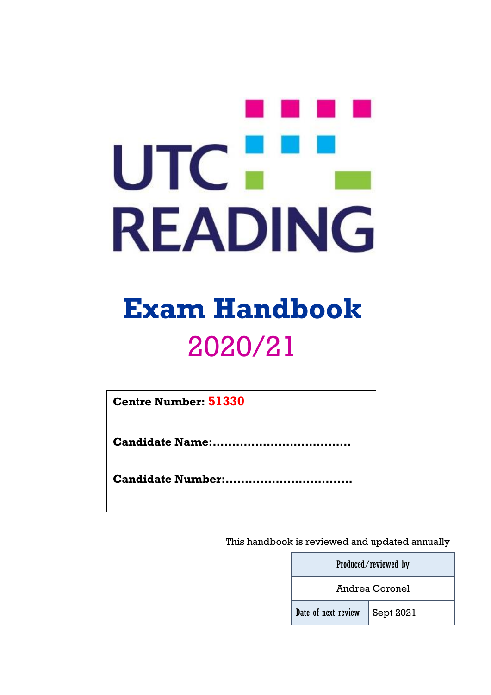# UTC-**READING**

# **Exam Handbook** 2020/21

**Centre Number: 51330**

**Candidate Name:………………………………**

**Candidate Number:……………………………**

This handbook is reviewed and updated annually

|                                       | Produced/reviewed by |  |
|---------------------------------------|----------------------|--|
| <b>Andrea Coronel</b>                 |                      |  |
| Date of next review $\Big $ Sept 2021 |                      |  |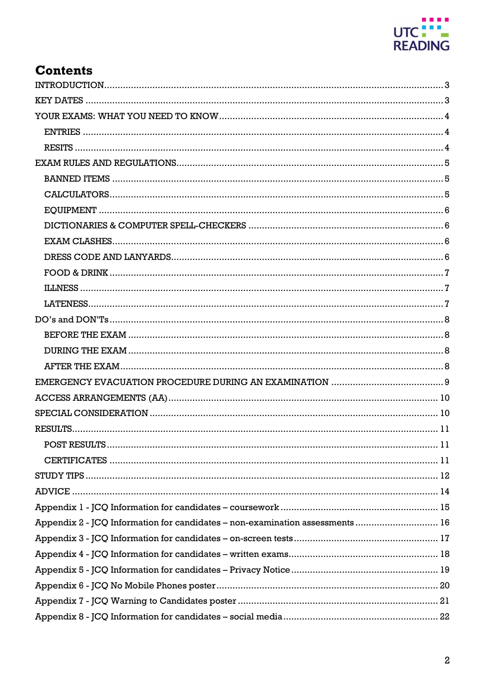

# **Contents**

| Appendix 2 - JCQ Information for candidates - non-examination assessments 16 |
|------------------------------------------------------------------------------|
|                                                                              |
|                                                                              |
|                                                                              |
|                                                                              |
|                                                                              |
|                                                                              |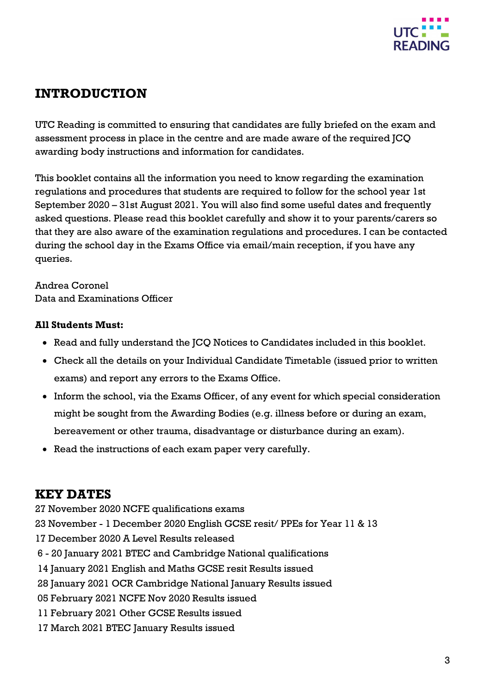

# <span id="page-2-0"></span>**INTRODUCTION**

UTC Reading is committed to ensuring that candidates are fully briefed on the exam and assessment process in place in the centre and are made aware of the required JCQ awarding body instructions and information for candidates.

This booklet contains all the information you need to know regarding the examination regulations and procedures that students are required to follow for the school year 1st September 2020 – 31st August 2021. You will also find some useful dates and frequently asked questions. Please read this booklet carefully and show it to your parents/carers so that they are also aware of the examination regulations and procedures. I can be contacted during the school day in the Exams Office via email/main reception, if you have any queries.

Andrea Coronel Data and Examinations Officer

#### **All Students Must:**

- Read and fully understand the JCQ Notices to Candidates included in this booklet.
- Check all the details on your Individual Candidate Timetable (issued prior to written exams) and report any errors to the Exams Office.
- Inform the school, via the Exams Officer, of any event for which special consideration might be sought from the Awarding Bodies (e.g. illness before or during an exam, bereavement or other trauma, disadvantage or disturbance during an exam).
- Read the instructions of each exam paper very carefully.

### <span id="page-2-1"></span>**KEY DATES**

- 27 November 2020 NCFE qualifications exams
- 23 November 1 December 2020 English GCSE resit/ PPEs for Year 11 & 13
- 17 December 2020 A Level Results released
- 6 20 January 2021 BTEC and Cambridge National qualifications
- 14 January 2021 English and Maths GCSE resit Results issued
- 28 January 2021 OCR Cambridge National January Results issued
- 05 February 2021 NCFE Nov 2020 Results issued
- 11 February 2021 Other GCSE Results issued
- 17 March 2021 BTEC January Results issued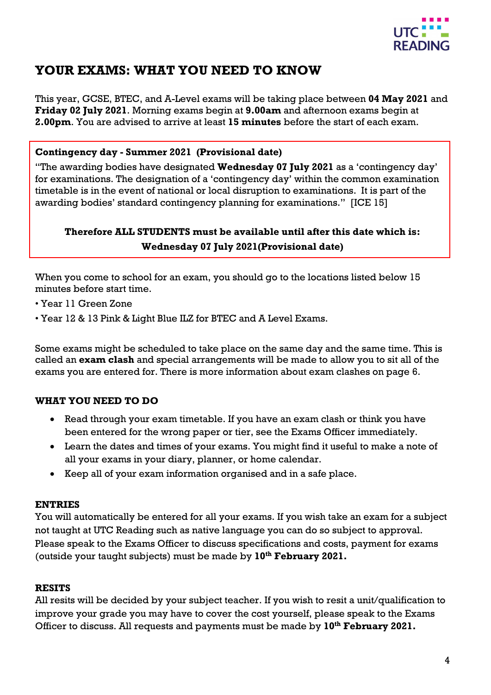

# <span id="page-3-0"></span>**YOUR EXAMS: WHAT YOU NEED TO KNOW**

This year, GCSE, BTEC, and A-Level exams will be taking place between **04 May 2021** and **Friday 02 July 2021**. Morning exams begin at **9.00am** and afternoon exams begin at **2.00pm**. You are advised to arrive at least **15 minutes** before the start of each exam.

#### **Contingency day - Summer 2021 (Provisional date)**

"The awarding bodies have designated **Wednesday 07 July 2021** as a 'contingency day' for examinations. The designation of a 'contingency day' within the common examination timetable is in the event of national or local disruption to examinations. It is part of the awarding bodies' standard contingency planning for examinations." [ICE 15]

#### **Therefore ALL STUDENTS must be available until after this date which is: Wednesday 07 July 2021(Provisional date)**

When you come to school for an exam, you should go to the locations listed below 15 minutes before start time.

- Year 11 Green Zone
- Year 12 & 13 Pink & Light Blue ILZ for BTEC and A Level Exams.

Some exams might be scheduled to take place on the same day and the same time. This is called an **exam clash** and special arrangements will be made to allow you to sit all of the exams you are entered for. There is more information about exam clashes on page 6.

#### **WHAT YOU NEED TO DO**

- Read through your exam timetable. If you have an exam clash or think you have been entered for the wrong paper or tier, see the Exams Officer immediately.
- Learn the dates and times of your exams. You might find it useful to make a note of all your exams in your diary, planner, or home calendar.
- Keep all of your exam information organised and in a safe place.

#### <span id="page-3-1"></span>**ENTRIES**

You will automatically be entered for all your exams. If you wish take an exam for a subject not taught at UTC Reading such as native language you can do so subject to approval. Please speak to the Exams Officer to discuss specifications and costs, payment for exams (outside your taught subjects) must be made by **10th February 2021.**

#### <span id="page-3-2"></span>**RESITS**

All resits will be decided by your subject teacher. If you wish to resit a unit/qualification to improve your grade you may have to cover the cost yourself, please speak to the Exams Officer to discuss. All requests and payments must be made by **10th February 2021.**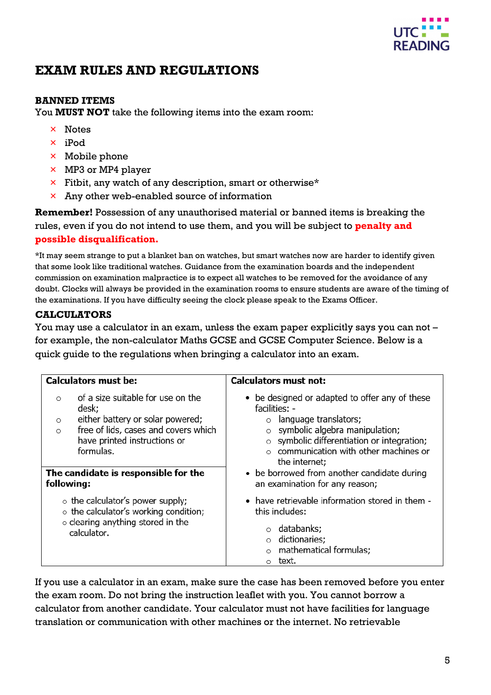

# <span id="page-4-0"></span>**EXAM RULES AND REGULATIONS**

#### <span id="page-4-1"></span>**BANNED ITEMS**

You **MUST NOT** take the following items into the exam room:

- × Notes
- × iPod
- × Mobile phone
- $\times$  MP3 or MP4 player
- $\times$  Fitbit, any watch of any description, smart or otherwise\*
- $\times$  Any other web-enabled source of information

**Remember!** Possession of any unauthorised material or banned items is breaking the rules, even if you do not intend to use them, and you will be subject to **penalty and possible disqualification.**

\*It may seem strange to put a blanket ban on watches, but smart watches now are harder to identify given that some look like traditional watches. Guidance from the examination boards and the independent commission on examination malpractice is to expect all watches to be removed for the avoidance of any doubt. Clocks will always be provided in the examination rooms to ensure students are aware of the timing of the examinations. If you have difficulty seeing the clock please speak to the Exams Officer.

#### <span id="page-4-2"></span>**CALCULATORS**

You may use a calculator in an exam, unless the exam paper explicitly says you can not – for example, the non-calculator Maths GCSE and GCSE Computer Science. Below is a quick guide to the regulations when bringing a calculator into an exam.

| <b>Calculators must be:</b>                                                                                                                                                                          | <b>Calculators must not:</b>                                                                                                                                                                                                    |
|------------------------------------------------------------------------------------------------------------------------------------------------------------------------------------------------------|---------------------------------------------------------------------------------------------------------------------------------------------------------------------------------------------------------------------------------|
| of a size suitable for use on the<br>$\circ$<br>desk;<br>either battery or solar powered;<br>$\circ$<br>free of lids, cases and covers which<br>$\circ$<br>have printed instructions or<br>formulas. | • be designed or adapted to offer any of these<br>facilities: -<br>language translators;<br>symbolic algebra manipulation;<br>symbolic differentiation or integration;<br>communication with other machines or<br>the internet; |
| The candidate is responsible for the<br>following:                                                                                                                                                   | • be borrowed from another candidate during<br>an examination for any reason;                                                                                                                                                   |
| $\circ$ the calculator's power supply;<br>$\circ$ the calculator's working condition;<br>$\circ$ clearing anything stored in the<br>calculator.                                                      | • have retrievable information stored in them -<br>this includes:<br>databanks;<br>dictionaries;<br>mathematical formulas;<br>text.                                                                                             |

If you use a calculator in an exam, make sure the case has been removed before you enter the exam room. Do not bring the instruction leaflet with you. You cannot borrow a calculator from another candidate. Your calculator must not have facilities for language translation or communication with other machines or the internet. No retrievable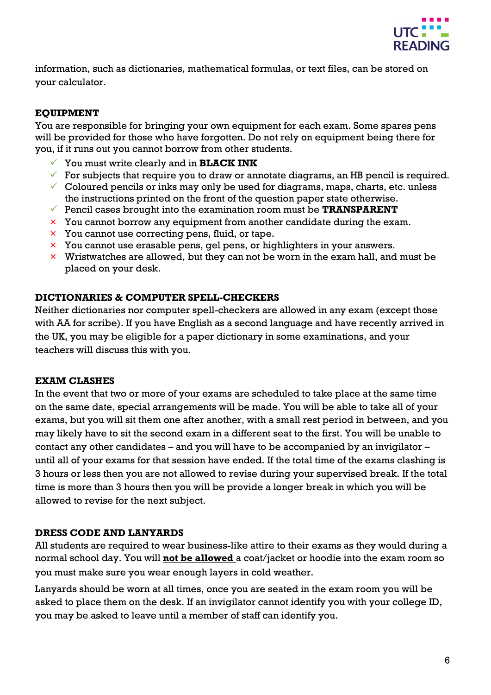

information, such as dictionaries, mathematical formulas, or text files, can be stored on your calculator.

#### <span id="page-5-0"></span>**EQUIPMENT**

You are responsible for bringing your own equipment for each exam. Some spares pens will be provided for those who have forgotten. Do not rely on equipment being there for you, if it runs out you cannot borrow from other students.

- You must write clearly and in **BLACK INK**
- $\checkmark$  For subjects that require you to draw or annotate diagrams, an HB pencil is required.
- $\checkmark$  Coloured pencils or inks may only be used for diagrams, maps, charts, etc. unless the instructions printed on the front of the question paper state otherwise.
- Pencil cases brought into the examination room must be **TRANSPARENT**
- $\times$  You cannot borrow any equipment from another candidate during the exam.
- $\times$  You cannot use correcting pens, fluid, or tape.
- × You cannot use erasable pens, gel pens, or highlighters in your answers.
- $\times$  Wristwatches are allowed, but they can not be worn in the exam hall, and must be placed on your desk.

#### <span id="page-5-1"></span>**DICTIONARIES & COMPUTER SPELL-CHECKERS**

Neither dictionaries nor computer spell-checkers are allowed in any exam (except those with AA for scribe). If you have English as a second language and have recently arrived in the UK, you may be eligible for a paper dictionary in some examinations, and your teachers will discuss this with you.

#### <span id="page-5-2"></span>**EXAM CLASHES**

In the event that two or more of your exams are scheduled to take place at the same time on the same date, special arrangements will be made. You will be able to take all of your exams, but you will sit them one after another, with a small rest period in between, and you may likely have to sit the second exam in a different seat to the first. You will be unable to contact any other candidates – and you will have to be accompanied by an invigilator – until all of your exams for that session have ended. If the total time of the exams clashing is 3 hours or less then you are not allowed to revise during your supervised break. If the total time is more than 3 hours then you will be provide a longer break in which you will be allowed to revise for the next subject.

#### <span id="page-5-3"></span>**DRESS CODE AND LANYARDS**

All students are required to wear business-like attire to their exams as they would during a normal school day. You will **not be allowed** a coat/jacket or hoodie into the exam room so you must make sure you wear enough layers in cold weather.

Lanyards should be worn at all times, once you are seated in the exam room you will be asked to place them on the desk. If an invigilator cannot identify you with your college ID, you may be asked to leave until a member of staff can identify you.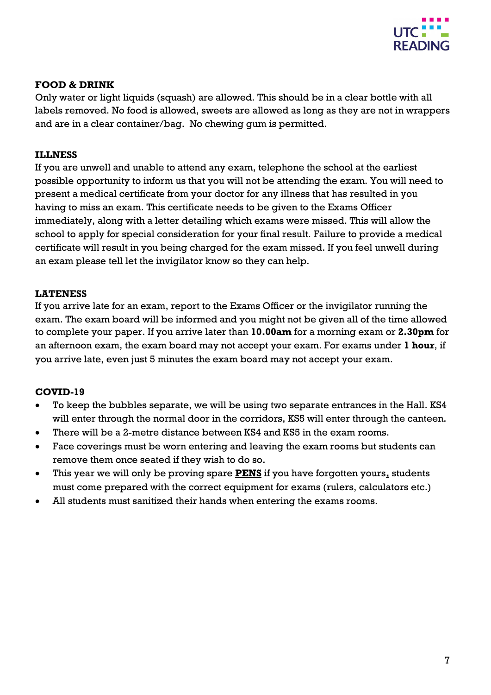

#### <span id="page-6-0"></span>**FOOD & DRINK**

Only water or light liquids (squash) are allowed. This should be in a clear bottle with all labels removed. No food is allowed, sweets are allowed as long as they are not in wrappers and are in a clear container/bag. No chewing gum is permitted.

#### <span id="page-6-1"></span>**ILLNESS**

If you are unwell and unable to attend any exam, telephone the school at the earliest possible opportunity to inform us that you will not be attending the exam. You will need to present a medical certificate from your doctor for any illness that has resulted in you having to miss an exam. This certificate needs to be given to the Exams Officer immediately, along with a letter detailing which exams were missed. This will allow the school to apply for special consideration for your final result. Failure to provide a medical certificate will result in you being charged for the exam missed. If you feel unwell during an exam please tell let the invigilator know so they can help.

#### <span id="page-6-2"></span>**LATENESS**

If you arrive late for an exam, report to the Exams Officer or the invigilator running the exam. The exam board will be informed and you might not be given all of the time allowed to complete your paper. If you arrive later than **10.00am** for a morning exam or **2.30pm** for an afternoon exam, the exam board may not accept your exam. For exams under **1 hour**, if you arrive late, even just 5 minutes the exam board may not accept your exam.

#### **COVID-19**

- To keep the bubbles separate, we will be using two separate entrances in the Hall. KS4 will enter through the normal door in the corridors, KS5 will enter through the canteen.
- There will be a 2-metre distance between KS4 and KS5 in the exam rooms.
- Face coverings must be worn entering and leaving the exam rooms but students can remove them once seated if they wish to do so.
- This year we will only be proving spare **PENS** if you have forgotten yours**,** students must come prepared with the correct equipment for exams (rulers, calculators etc.)
- All students must sanitized their hands when entering the exams rooms.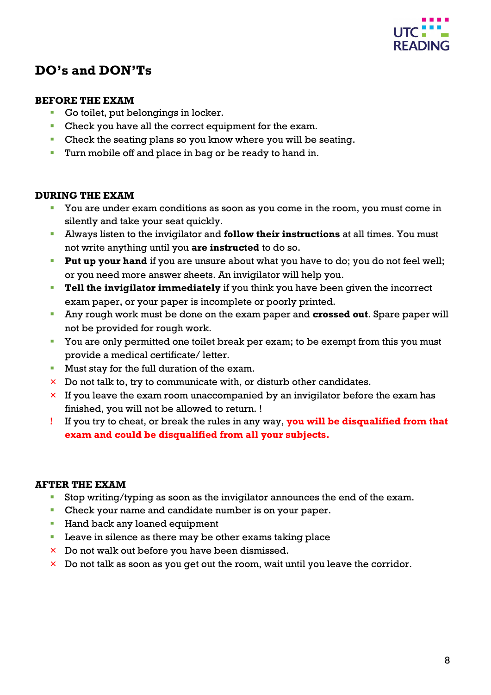

# <span id="page-7-0"></span>**DO's and DON'Ts**

#### <span id="page-7-1"></span>**BEFORE THE EXAM**

- Go toilet, put belongings in locker.
- Check you have all the correct equipment for the exam.
- Check the seating plans so you know where you will be seating.
- **Turn mobile off and place in bag or be ready to hand in.**

#### <span id="page-7-2"></span>**DURING THE EXAM**

- You are under exam conditions as soon as you come in the room, you must come in silently and take your seat quickly.
- Always listen to the invigilator and **follow their instructions** at all times. You must not write anything until you **are instructed** to do so.
- **Put up your hand** if you are unsure about what you have to do; you do not feel well; or you need more answer sheets. An invigilator will help you.
- **Tell the invigilator immediately** if you think you have been given the incorrect exam paper, or your paper is incomplete or poorly printed.
- Any rough work must be done on the exam paper and **crossed out**. Spare paper will not be provided for rough work.
- You are only permitted one toilet break per exam; to be exempt from this you must provide a medical certificate/ letter.
- **Must stay for the full duration of the exam.**
- $\times$  Do not talk to, try to communicate with, or disturb other candidates.
- $\times$  If you leave the exam room unaccompanied by an invigilator before the exam has finished, you will not be allowed to return. !
- ! If you try to cheat, or break the rules in any way, **you will be disqualified from that exam and could be disqualified from all your subjects.**

#### <span id="page-7-3"></span>**AFTER THE EXAM**

- Stop writing/typing as soon as the invigilator announces the end of the exam.
- Check your name and candidate number is on your paper.
- **Hand back any loaned equipment**
- **Leave in silence as there may be other exams taking place**
- $\times$  Do not walk out before you have been dismissed.
- $\times$  Do not talk as soon as you get out the room, wait until you leave the corridor.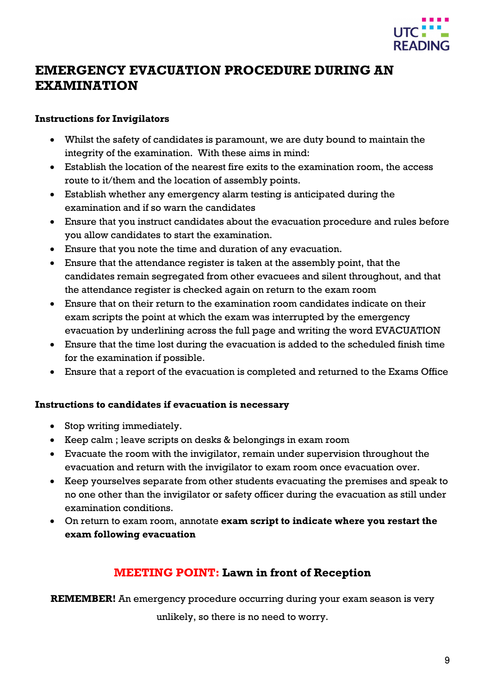

# <span id="page-8-0"></span>**EMERGENCY EVACUATION PROCEDURE DURING AN EXAMINATION**

#### **Instructions for Invigilators**

- Whilst the safety of candidates is paramount, we are duty bound to maintain the integrity of the examination. With these aims in mind:
- Establish the location of the nearest fire exits to the examination room, the access route to it/them and the location of assembly points.
- Establish whether any emergency alarm testing is anticipated during the examination and if so warn the candidates
- Ensure that you instruct candidates about the evacuation procedure and rules before you allow candidates to start the examination.
- Ensure that you note the time and duration of any evacuation.
- Ensure that the attendance register is taken at the assembly point, that the candidates remain segregated from other evacuees and silent throughout, and that the attendance register is checked again on return to the exam room
- Ensure that on their return to the examination room candidates indicate on their exam scripts the point at which the exam was interrupted by the emergency evacuation by underlining across the full page and writing the word EVACUATION
- Ensure that the time lost during the evacuation is added to the scheduled finish time for the examination if possible.
- Ensure that a report of the evacuation is completed and returned to the Exams Office

#### **Instructions to candidates if evacuation is necessary**

- Stop writing immediately.
- Keep calm ; leave scripts on desks & belongings in exam room
- Evacuate the room with the invigilator, remain under supervision throughout the evacuation and return with the invigilator to exam room once evacuation over.
- Keep yourselves separate from other students evacuating the premises and speak to no one other than the invigilator or safety officer during the evacuation as still under examination conditions.
- On return to exam room, annotate **exam script to indicate where you restart the exam following evacuation**

## **MEETING POINT: Lawn in front of Reception**

**REMEMBER!** An emergency procedure occurring during your exam season is very

unlikely, so there is no need to worry.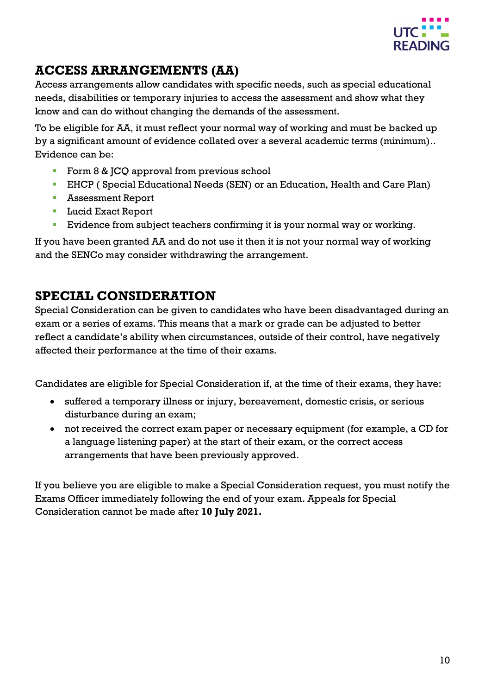

# <span id="page-9-0"></span>**ACCESS ARRANGEMENTS (AA)**

Access arrangements allow candidates with specific needs, such as special educational needs, disabilities or temporary injuries to access the assessment and show what they know and can do without changing the demands of the assessment.

To be eligible for AA, it must reflect your normal way of working and must be backed up by a significant amount of evidence collated over a several academic terms (minimum).. Evidence can be:

- Form 8 & JCQ approval from previous school
- EHCP ( Special Educational Needs (SEN) or an Education, Health and Care Plan)
- **Assessment Report**
- **Lucid Exact Report**
- Evidence from subject teachers confirming it is your normal way or working.

If you have been granted AA and do not use it then it is not your normal way of working and the SENCo may consider withdrawing the arrangement.

# <span id="page-9-1"></span>**SPECIAL CONSIDERATION**

Special Consideration can be given to candidates who have been disadvantaged during an exam or a series of exams. This means that a mark or grade can be adjusted to better reflect a candidate's ability when circumstances, outside of their control, have negatively affected their performance at the time of their exams.

Candidates are eligible for Special Consideration if, at the time of their exams, they have:

- suffered a temporary illness or injury, bereavement, domestic crisis, or serious disturbance during an exam;
- not received the correct exam paper or necessary equipment (for example, a CD for a language listening paper) at the start of their exam, or the correct access arrangements that have been previously approved.

If you believe you are eligible to make a Special Consideration request, you must notify the Exams Officer immediately following the end of your exam. Appeals for Special Consideration cannot be made after **10 July 2021.**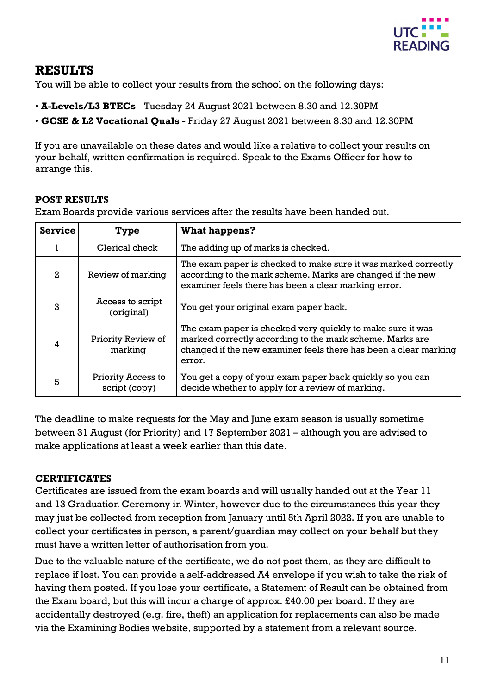

# <span id="page-10-0"></span>**RESULTS**

You will be able to collect your results from the school on the following days:

- **A-Levels/L3 BTECs** Tuesday 24 August 2021 between 8.30 and 12.30PM
- **GCSE & L2 Vocational Quals**  Friday 27 August 2021 between 8.30 and 12.30PM

If you are unavailable on these dates and would like a relative to collect your results on your behalf, written confirmation is required. Speak to the Exams Officer for how to arrange this.

#### <span id="page-10-1"></span>**POST RESULTS**

Exam Boards provide various services after the results have been handed out.

| <b>Service</b> | Type                                | <b>What happens?</b>                                                                                                                                                                                 |
|----------------|-------------------------------------|------------------------------------------------------------------------------------------------------------------------------------------------------------------------------------------------------|
|                | Clerical check                      | The adding up of marks is checked.                                                                                                                                                                   |
| 2              | Review of marking                   | The exam paper is checked to make sure it was marked correctly<br>according to the mark scheme. Marks are changed if the new<br>examiner feels there has been a clear marking error.                 |
| 3              | Access to script<br>(original)      | You get your original exam paper back.                                                                                                                                                               |
|                | Priority Review of<br>marking       | The exam paper is checked very quickly to make sure it was<br>marked correctly according to the mark scheme. Marks are<br>changed if the new examiner feels there has been a clear marking<br>error. |
| 5              | Priority Access to<br>script (copy) | You get a copy of your exam paper back quickly so you can<br>decide whether to apply for a review of marking.                                                                                        |

The deadline to make requests for the May and June exam season is usually sometime between 31 August (for Priority) and 17 September 2021 – although you are advised to make applications at least a week earlier than this date.

#### <span id="page-10-2"></span>**CERTIFICATES**

Certificates are issued from the exam boards and will usually handed out at the Year 11 and 13 Graduation Ceremony in Winter, however due to the circumstances this year they may just be collected from reception from January until 5th April 2022. If you are unable to collect your certificates in person, a parent/guardian may collect on your behalf but they must have a written letter of authorisation from you.

Due to the valuable nature of the certificate, we do not post them, as they are difficult to replace if lost. You can provide a self-addressed A4 envelope if you wish to take the risk of having them posted. If you lose your certificate, a Statement of Result can be obtained from the Exam board, but this will incur a charge of approx. £40.00 per board. If they are accidentally destroyed (e.g. fire, theft) an application for replacements can also be made via the Examining Bodies website, supported by a statement from a relevant source.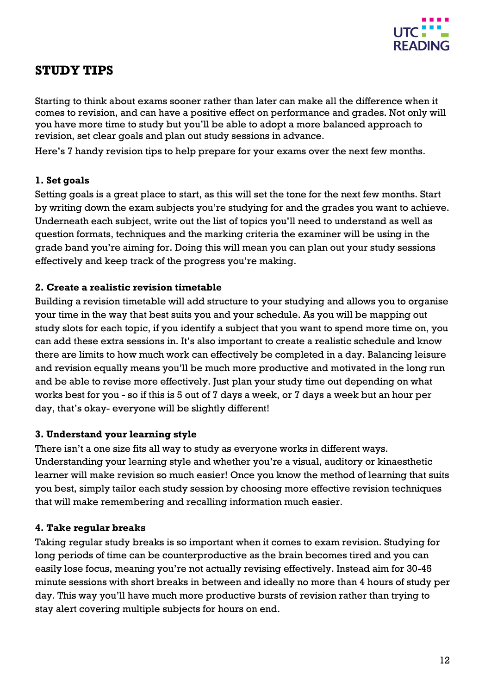

# <span id="page-11-0"></span>**STUDY TIPS**

Starting to think about exams sooner rather than later can make all the difference when it comes to revision, and can have a positive effect on performance and grades. Not only will you have more time to study but you'll be able to adopt a more balanced approach to revision, set clear goals and plan out study sessions in advance.

Here's 7 handy revision tips to help prepare for your exams over the next few months.

#### **1. Set goals**

Setting goals is a great place to start, as this will set the tone for the next few months. Start by writing down the exam subjects you're studying for and the grades you want to achieve. Underneath each subject, write out the list of topics you'll need to understand as well as question formats, techniques and the marking criteria the examiner will be using in the grade band you're aiming for. Doing this will mean you can plan out your study sessions effectively and keep track of the progress you're making.

#### **2. Create a realistic revision timetable**

Building a revision timetable will add structure to your studying and allows you to organise your time in the way that best suits you and your schedule. As you will be mapping out study slots for each topic, if you identify a subject that you want to spend more time on, you can add these extra sessions in. It's also important to create a realistic schedule and know there are limits to how much work can effectively be completed in a day. Balancing leisure and revision equally means you'll be much more productive and motivated in the long run and be able to revise more effectively. Just plan your study time out depending on what works best for you - so if this is 5 out of 7 days a week, or 7 days a week but an hour per day, that's okay- everyone will be slightly different!

#### **3. Understand your learning style**

There isn't a one size fits all way to study as everyone works in different ways. Understanding your learning style and whether you're a visual, auditory or kinaesthetic learner will make revision so much easier! Once you know the method of learning that suits you best, simply tailor each study session by choosing more effective revision techniques that will make remembering and recalling information much easier.

#### **4. Take regular breaks**

Taking regular study breaks is so important when it comes to exam revision. Studying for long periods of time can be counterproductive as the brain becomes tired and you can easily lose focus, meaning you're not actually revising effectively. Instead aim for 30-45 minute sessions with short breaks in between and ideally no more than 4 hours of study per day. This way you'll have much more productive bursts of revision rather than trying to stay alert covering multiple subjects for hours on end.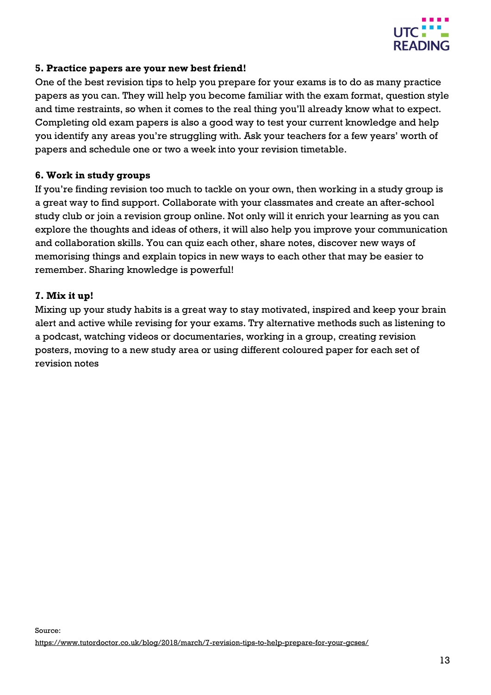

#### **5. Practice papers are your new best friend!**

One of the best revision tips to help you prepare for your exams is to do as many practice papers as you can. They will help you become familiar with the exam format, question style and time restraints, so when it comes to the real thing you'll already know what to expect. Completing old exam papers is also a good way to test your current knowledge and help you identify any areas you're struggling with. Ask your teachers for a few years' worth of papers and schedule one or two a week into your revision timetable.

#### **6. Work in study groups**

If you're finding revision too much to tackle on your own, then working in a study group is a great way to find support. Collaborate with your classmates and create an after-school study club or join a revision group online. Not only will it enrich your learning as you can explore the thoughts and ideas of others, it will also help you improve your communication and collaboration skills. You can quiz each other, share notes, discover new ways of memorising things and explain topics in new ways to each other that may be easier to remember. Sharing knowledge is powerful!

#### **7. Mix it up!**

Mixing up your study habits is a great way to stay motivated, inspired and keep your brain alert and active while revising for your exams. Try alternative methods such as listening to a podcast, watching videos or documentaries, working in a group, creating revision posters, moving to a new study area or using different coloured paper for each set of revision notes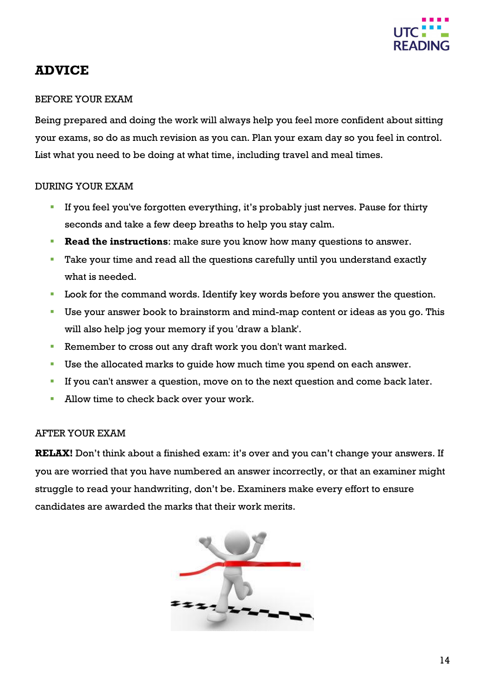

## <span id="page-13-0"></span>**ADVICE**

#### BEFORE YOUR EXAM

Being prepared and doing the work will always help you feel more confident about sitting your exams, so do as much revision as you can. Plan your exam day so you feel in control. List what you need to be doing at what time, including travel and meal times.

#### DURING YOUR EXAM

- If you feel you've forgotten everything, it's probably just nerves. Pause for thirty seconds and take a few deep breaths to help you stay calm.
- **Read the instructions**: make sure you know how many questions to answer.
- Take your time and read all the questions carefully until you understand exactly what is needed.
- Look for the command words. Identify key words before you answer the question.
- Use your answer book to brainstorm and mind-map content or ideas as you go. This will also help jog your memory if you 'draw a blank'.
- Remember to cross out any draft work you don't want marked.
- Use the allocated marks to guide how much time you spend on each answer.
- If you can't answer a question, move on to the next question and come back later.
- **Allow time to check back over your work.**

#### AFTER YOUR EXAM

**RELAX!** Don't think about a finished exam: it's over and you can't change your answers. If you are worried that you have numbered an answer incorrectly, or that an examiner might struggle to read your handwriting, don't be. Examiners make every effort to ensure candidates are awarded the marks that their work merits.

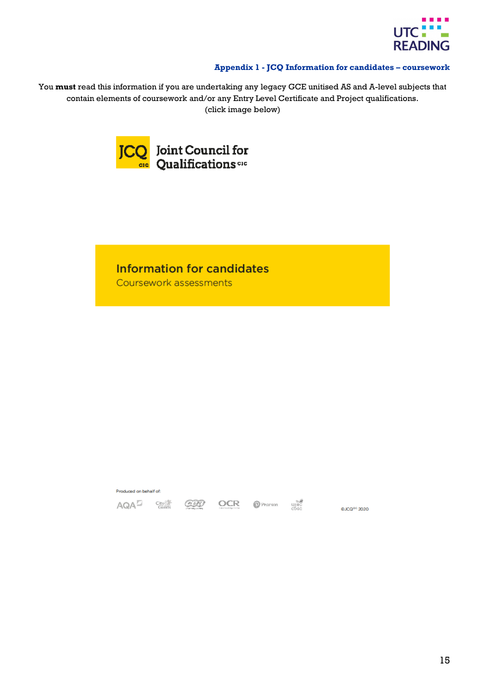

#### **Appendix 1 - JCQ Information for candidates – coursework**

<span id="page-14-0"></span>You **must** read this information if you are undertaking any legacy GCE unitised AS and A-level subjects that contain elements of coursework and/or any Entry Level Certificate and Project qualifications. (click image below)



# **Information for candidates**

CH

**OCR** 

Coursework assessments

Produced on behalf of:

 $AOA^{\square}$  and  $C^{\square}$ 

 $\bullet$  Pearson  $\bullet$   $\bullet$  Pearson  $\bullet$ 

@JCQ<sup>dc</sup> 2020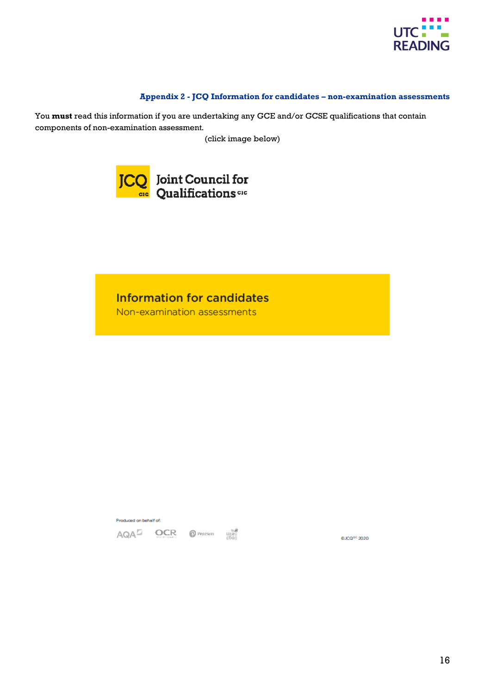

#### **Appendix 2 - JCQ Information for candidates – non-examination assessments**

<span id="page-15-0"></span>You **must** read this information if you are undertaking any GCE and/or GCSE qualifications that contain components of non-examination assessment*.* 

(click image below)



# **Information for candidates**

Non-examination assessments

Produced on behalf of:

AQA<sup>D</sup> OCR OPenson under

@JCQ<sup>dc</sup> 2020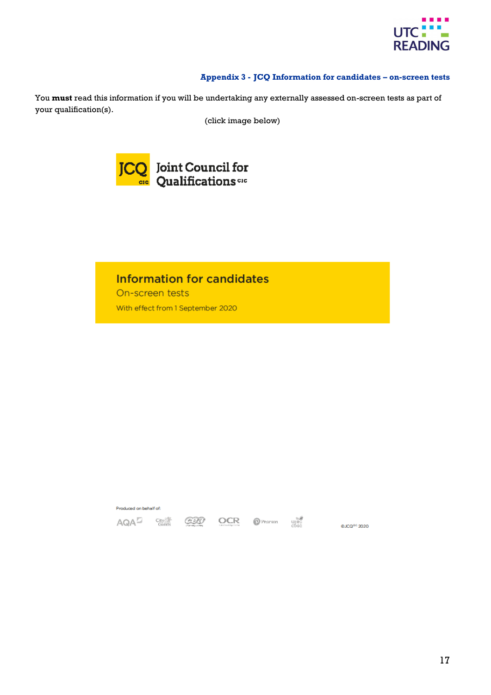

#### **Appendix 3 - JCQ Information for candidates – on-screen tests**

<span id="page-16-0"></span>You **must** read this information if you will be undertaking any externally assessed on-screen tests as part of your qualification(s).

(click image below)



# **Information for candidates**

On-screen tests With effect from 1 September 2020

Produced on behalf of: Pearson uped AQA<sup>D</sup> City<sup>814</sup> 699 OCR @JCQ<sup>dc</sup> 2020

17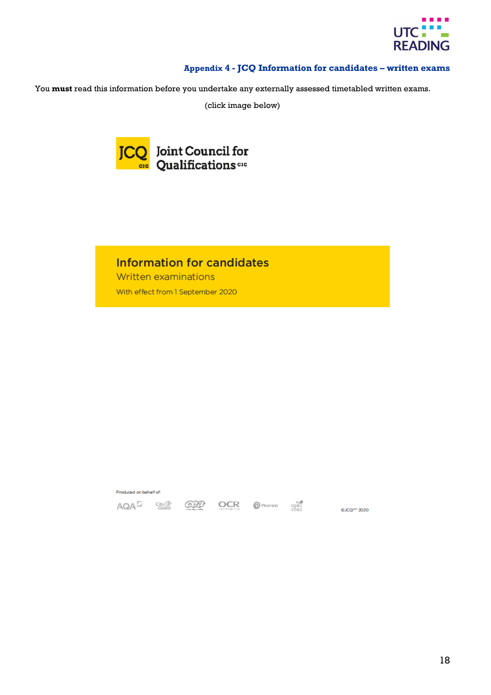

#### **Appendix 4 - JCQ Information for candidates – written exams**

<span id="page-17-0"></span>You **must** read this information before you undertake any externally assessed timetabled written exams.

(click image below)



# **Information for candidates**

Written examinations With effect from 1 September 2020

Produced on behalf of:

AQA<sup>D</sup> ave ŒÐ Pearson ujec<br>Chacken chacker

OCR

@JCQ<sup>dc</sup> 2020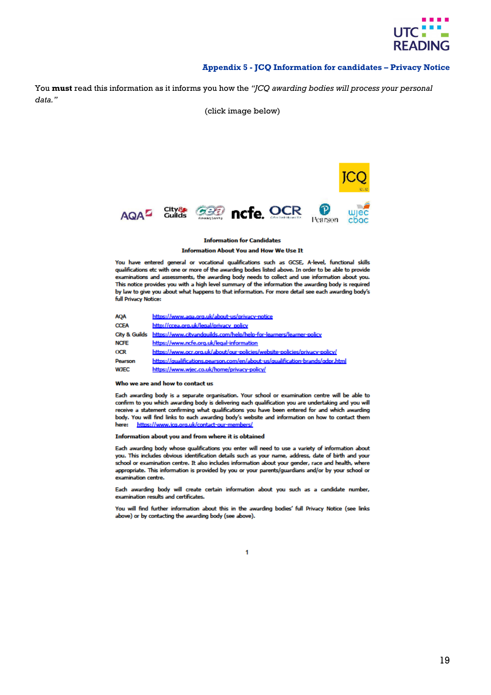

#### **Appendix 5 - JCQ Information for candidates – Privacy Notice**

<span id="page-18-0"></span>You **must** read this information as it informs you how the *"JCQ awarding bodies will process your personal data."* 

(click image below)



#### **Information for Candidates**

#### **Information About You and How We Use It**

You have entered general or vocational qualifications such as GCSE, A-level, functional skills qualifications etc with one or more of the awarding bodies listed above. In order to be able to provide examinations and assessments, the awarding body needs to collect and use information about you. This notice provides you with a high level summary of the information the awarding body is required by law to give you about what happens to that information. For more detail see each awarding body's full Privacy Notice:

| <b>AQA</b>               | https://www.aga.org.uk/about-us/privacy-notice                                |
|--------------------------|-------------------------------------------------------------------------------|
| <b>CCEA</b>              | http://ccea.org.uk/legal/privacy_policy                                       |
| <b>City &amp; Guilds</b> | https://www.citvandquilds.com/help/help-for-learners/learner-policy           |
| <b>NCFE</b>              | https://www.ncfe.org.uk/legal-information                                     |
| <b>OCR</b>               | https://www.ocr.org.uk/about/our-policies/website-policies/privacy-policy/    |
| Pearson                  | https://gualifications.pearson.com/en/about-us/gualification-brands/gdpr.html |
| <b>WJEC</b>              | https://www.wjec.co.uk/home/privacy-policy/                                   |

#### Who we are and how to contact us

Each awarding body is a separate organisation. Your school or examination centre will be able to confirm to you which awarding body is delivering each qualification you are undertaking and you will receive a statement confirming what qualifications you have been entered for and which awarding body. You will find links to each awarding body's website and information on how to contact them here: https://www.ica.org.uk/contact-o serc/

Information about you and from where it is obtained

Each awarding body whose qualifications you enter will need to use a variety of information about you. This includes obvious identification details such as your name, address, date of birth and your school or examination centre. It also includes information about your gender, race and health, where appropriate. This information is provided by you or your parents/guardians and/or by your school or examination centre.

Each awarding body will create certain information about you such as a candidate number, examination results and certificates.

You will find further information about this in the awarding bodies' full Privacy Notice (see links above) or by contacting the awarding body (see above).

 $\ddot{\mathbf{1}}$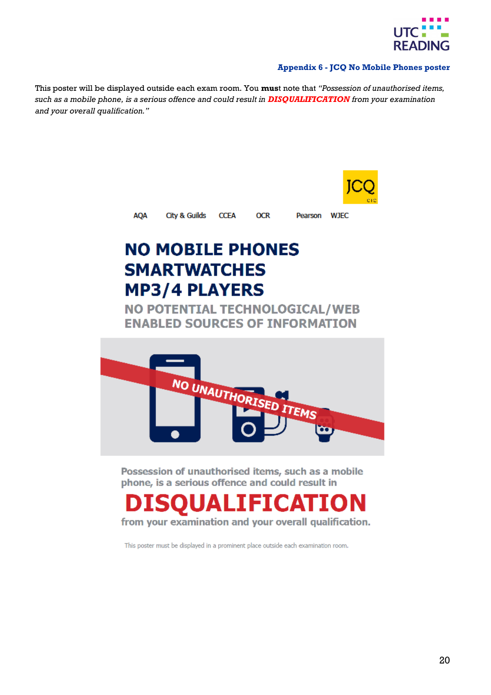

#### **Appendix 6 - JCQ No Mobile Phones poster**

<span id="page-19-0"></span>This poster will be displayed outside each exam room. You **mus**t note that *"Possession of unauthorised items, such as a mobile phone, is a serious offence and could result in DISQUALIFICATION from your examination and your overall qualification."*



**AOA** City & Guilds **CCEA** 

**OCR** 

Pearson **WJEC** 

# **NO MOBILE PHONES SMARTWATCHES MP3/4 PLAYERS**

**NO POTENTIAL TECHNOLOGICAL/WEB ENABLED SOURCES OF INFORMATION** 



Possession of unauthorised items, such as a mobile phone, is a serious offence and could result in

# **ICATION**

from your examination and your overall qualification.

This poster must be displayed in a prominent place outside each examination room.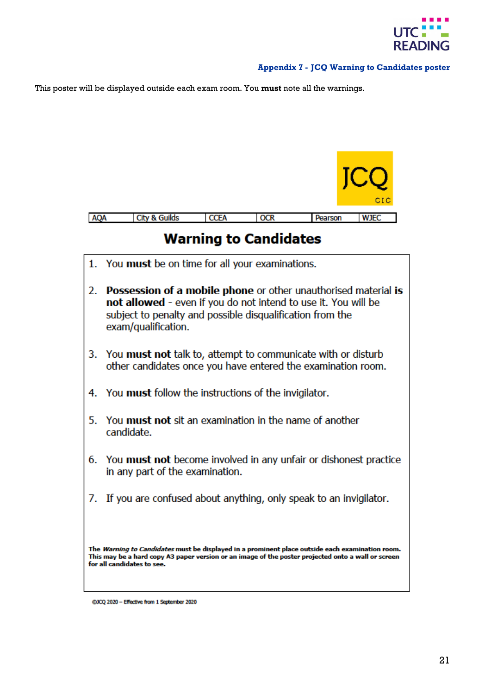

#### **Appendix 7 - JCQ Warning to Candidates poster**

<span id="page-20-0"></span>This poster will be displayed outside each exam room. You **must** note all the warnings.



@JCQ 2020 - Effective from 1 September 2020